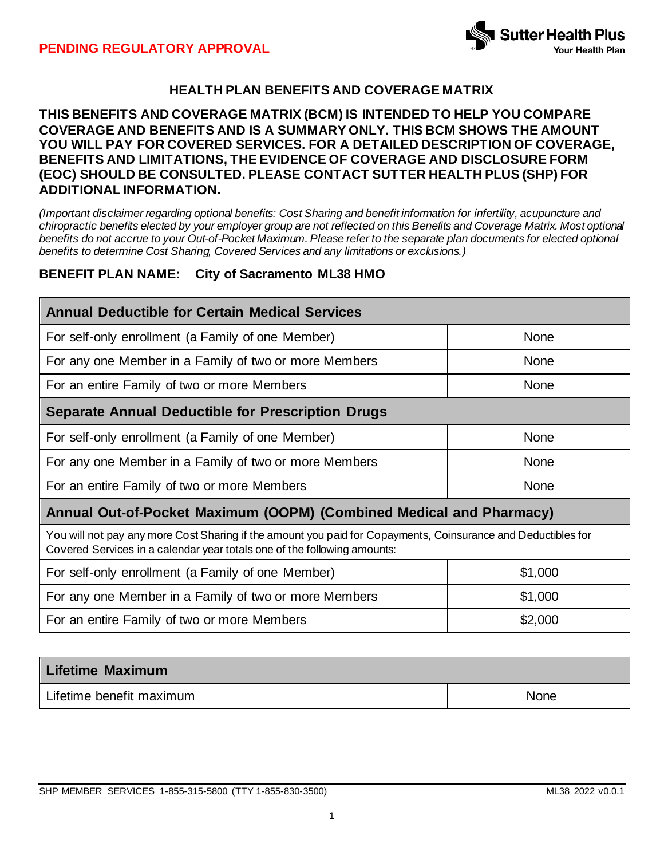

# **HEALTH PLAN BENEFITS AND COVERAGE MATRIX**

### **THIS BENEFITS AND COVERAGE MATRIX (BCM) IS INTENDED TO HELP YOU COMPARE COVERAGE AND BENEFITS AND IS A SUMMARY ONLY. THIS BCM SHOWS THE AMOUNT YOU WILL PAY FOR COVERED SERVICES. FOR A DETAILED DESCRIPTION OF COVERAGE, BENEFITS AND LIMITATIONS, THE EVIDENCE OF COVERAGE AND DISCLOSURE FORM (EOC) SHOULD BE CONSULTED. PLEASE CONTACT SUTTER HEALTH PLUS (SHP) FOR ADDITIONAL INFORMATION.**

*(Important disclaimer regarding optional benefits: Cost Sharing and benefit information for infertility, acupuncture and chiropractic benefits elected by your employer group are not reflected on this Benefits and Coverage Matrix. Most optional benefits do not accrue to your Out-of-Pocket Maximum. Please refer to the separate plan documents for elected optional benefits to determine Cost Sharing, Covered Services and any limitations or exclusions.)*

### **BENEFIT PLAN NAME: City of Sacramento ML38 HMO**

| <b>Annual Deductible for Certain Medical Services</b>                                                                                                                                     |             |  |  |
|-------------------------------------------------------------------------------------------------------------------------------------------------------------------------------------------|-------------|--|--|
| For self-only enrollment (a Family of one Member)                                                                                                                                         | <b>None</b> |  |  |
| For any one Member in a Family of two or more Members                                                                                                                                     | <b>None</b> |  |  |
| For an entire Family of two or more Members                                                                                                                                               | <b>None</b> |  |  |
| <b>Separate Annual Deductible for Prescription Drugs</b>                                                                                                                                  |             |  |  |
| For self-only enrollment (a Family of one Member)                                                                                                                                         | None        |  |  |
| For any one Member in a Family of two or more Members                                                                                                                                     | None        |  |  |
| For an entire Family of two or more Members                                                                                                                                               | <b>None</b> |  |  |
| Annual Out-of-Pocket Maximum (OOPM) (Combined Medical and Pharmacy)                                                                                                                       |             |  |  |
| You will not pay any more Cost Sharing if the amount you paid for Copayments, Coinsurance and Deductibles for<br>Covered Services in a calendar year totals one of the following amounts: |             |  |  |
| For self-only enrollment (a Family of one Member)                                                                                                                                         | \$1,000     |  |  |
| For any one Member in a Family of two or more Members                                                                                                                                     | \$1,000     |  |  |
| For an entire Family of two or more Members                                                                                                                                               | \$2,000     |  |  |

| <b>Lifetime Maximum</b>  |             |
|--------------------------|-------------|
| Lifetime benefit maximum | <b>None</b> |

SHP MEMBER SERVICES 1-855-315-5800 (TTY 1-855-830-3500) ML38 2022 v0.0.1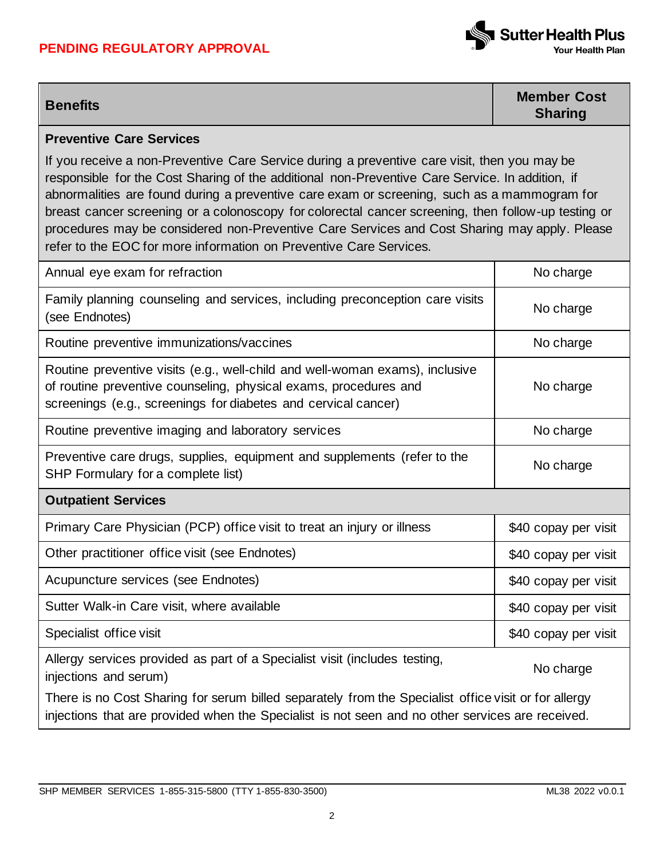## **PENDING REGULATORY APPROVAL**



**Benefits Member Cost Sharing**

### **Preventive Care Services**

If you receive a non-Preventive Care Service during a preventive care visit, then you may be responsible for the Cost Sharing of the additional non-Preventive Care Service. In addition, if abnormalities are found during a preventive care exam or screening, such as a mammogram for breast cancer screening or a colonoscopy for colorectal cancer screening, then follow-up testing or procedures may be considered non-Preventive Care Services and Cost Sharing may apply. Please refer to the EOC for more information on Preventive Care Services.

| Annual eye exam for refraction                                                                                                                                                                                     | No charge            |
|--------------------------------------------------------------------------------------------------------------------------------------------------------------------------------------------------------------------|----------------------|
| Family planning counseling and services, including preconception care visits<br>(see Endnotes)                                                                                                                     | No charge            |
| Routine preventive immunizations/vaccines                                                                                                                                                                          | No charge            |
| Routine preventive visits (e.g., well-child and well-woman exams), inclusive<br>of routine preventive counseling, physical exams, procedures and<br>screenings (e.g., screenings for diabetes and cervical cancer) | No charge            |
| Routine preventive imaging and laboratory services                                                                                                                                                                 | No charge            |
| Preventive care drugs, supplies, equipment and supplements (refer to the<br>SHP Formulary for a complete list)                                                                                                     | No charge            |
|                                                                                                                                                                                                                    |                      |
| <b>Outpatient Services</b>                                                                                                                                                                                         |                      |
| Primary Care Physician (PCP) office visit to treat an injury or illness                                                                                                                                            | \$40 copay per visit |
| Other practitioner office visit (see Endnotes)                                                                                                                                                                     | \$40 copay per visit |
| Acupuncture services (see Endnotes)                                                                                                                                                                                | \$40 copay per visit |
| Sutter Walk-in Care visit, where available                                                                                                                                                                         | \$40 copay per visit |
| Specialist office visit                                                                                                                                                                                            | \$40 copay per visit |
| Allergy services provided as part of a Specialist visit (includes testing,<br>injections and serum)                                                                                                                | No charge            |

injections that are provided when the Specialist is not seen and no other services are received.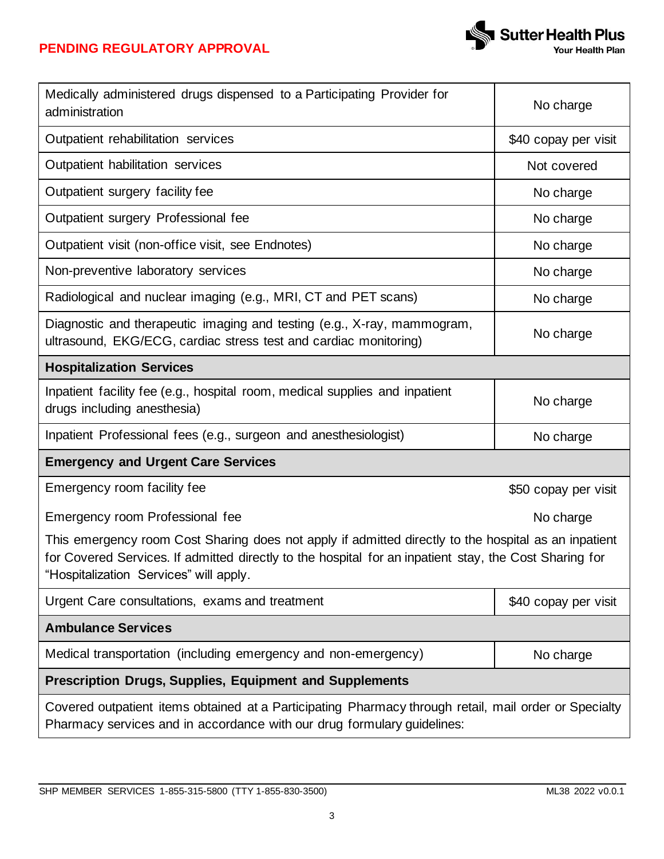

| Medically administered drugs dispensed to a Participating Provider for<br>administration                                                                                                                                                                 | No charge            |  |
|----------------------------------------------------------------------------------------------------------------------------------------------------------------------------------------------------------------------------------------------------------|----------------------|--|
| Outpatient rehabilitation services                                                                                                                                                                                                                       | \$40 copay per visit |  |
| Outpatient habilitation services                                                                                                                                                                                                                         | Not covered          |  |
| Outpatient surgery facility fee                                                                                                                                                                                                                          | No charge            |  |
| Outpatient surgery Professional fee                                                                                                                                                                                                                      | No charge            |  |
| Outpatient visit (non-office visit, see Endnotes)                                                                                                                                                                                                        | No charge            |  |
| Non-preventive laboratory services                                                                                                                                                                                                                       | No charge            |  |
| Radiological and nuclear imaging (e.g., MRI, CT and PET scans)                                                                                                                                                                                           | No charge            |  |
| Diagnostic and therapeutic imaging and testing (e.g., X-ray, mammogram,<br>ultrasound, EKG/ECG, cardiac stress test and cardiac monitoring)                                                                                                              | No charge            |  |
| <b>Hospitalization Services</b>                                                                                                                                                                                                                          |                      |  |
| Inpatient facility fee (e.g., hospital room, medical supplies and inpatient<br>drugs including anesthesia)                                                                                                                                               | No charge            |  |
| Inpatient Professional fees (e.g., surgeon and anesthesiologist)                                                                                                                                                                                         | No charge            |  |
| <b>Emergency and Urgent Care Services</b>                                                                                                                                                                                                                |                      |  |
| Emergency room facility fee                                                                                                                                                                                                                              | \$50 copay per visit |  |
| Emergency room Professional fee                                                                                                                                                                                                                          | No charge            |  |
| This emergency room Cost Sharing does not apply if admitted directly to the hospital as an inpatient<br>for Covered Services. If admitted directly to the hospital for an inpatient stay, the Cost Sharing for<br>"Hospitalization Services" will apply. |                      |  |
| Urgent Care consultations, exams and treatment                                                                                                                                                                                                           | \$40 copay per visit |  |
| <b>Ambulance Services</b>                                                                                                                                                                                                                                |                      |  |
| Medical transportation (including emergency and non-emergency)                                                                                                                                                                                           | No charge            |  |
| <b>Prescription Drugs, Supplies, Equipment and Supplements</b>                                                                                                                                                                                           |                      |  |
| Covered outpatient items obtained at a Participating Pharmacy through retail, mail order or Specialty<br>Pharmacy services and in accordance with our drug formulary guidelines:                                                                         |                      |  |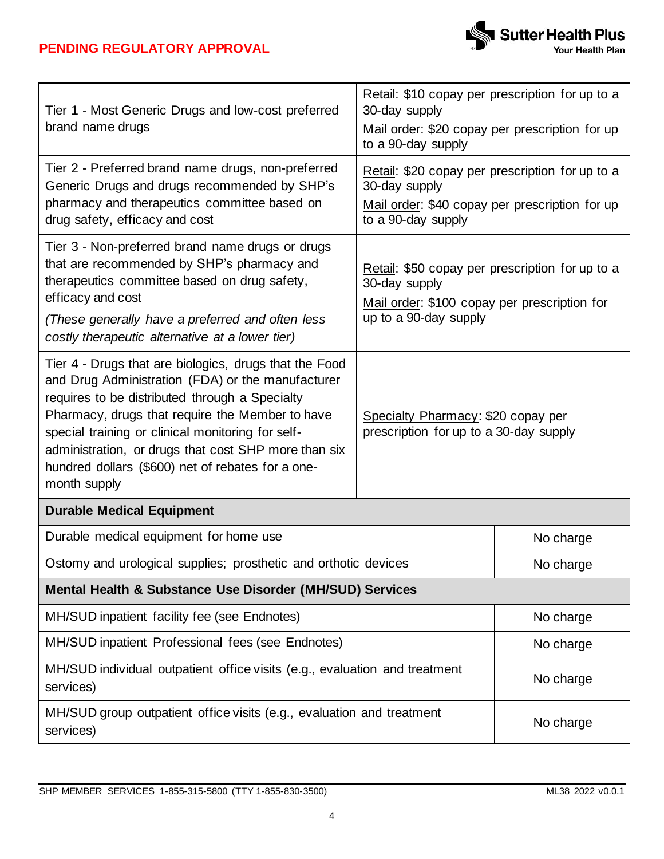

| Tier 1 - Most Generic Drugs and low-cost preferred                                                                                                                                                                                                                                                                                                                                                 | Retail: \$10 copay per prescription for up to a<br>30-day supply                                                                          |           |  |
|----------------------------------------------------------------------------------------------------------------------------------------------------------------------------------------------------------------------------------------------------------------------------------------------------------------------------------------------------------------------------------------------------|-------------------------------------------------------------------------------------------------------------------------------------------|-----------|--|
| brand name drugs                                                                                                                                                                                                                                                                                                                                                                                   | Mail order: \$20 copay per prescription for up<br>to a 90-day supply                                                                      |           |  |
| Tier 2 - Preferred brand name drugs, non-preferred<br>Generic Drugs and drugs recommended by SHP's<br>pharmacy and therapeutics committee based on                                                                                                                                                                                                                                                 | Retail: \$20 copay per prescription for up to a<br>30-day supply<br>Mail order: \$40 copay per prescription for up                        |           |  |
| drug safety, efficacy and cost                                                                                                                                                                                                                                                                                                                                                                     | to a 90-day supply                                                                                                                        |           |  |
| Tier 3 - Non-preferred brand name drugs or drugs<br>that are recommended by SHP's pharmacy and<br>therapeutics committee based on drug safety,<br>efficacy and cost                                                                                                                                                                                                                                | Retail: \$50 copay per prescription for up to a<br>30-day supply<br>Mail order: \$100 copay per prescription for<br>up to a 90-day supply |           |  |
| (These generally have a preferred and often less<br>costly therapeutic alternative at a lower tier)                                                                                                                                                                                                                                                                                                |                                                                                                                                           |           |  |
| Tier 4 - Drugs that are biologics, drugs that the Food<br>and Drug Administration (FDA) or the manufacturer<br>requires to be distributed through a Specialty<br>Pharmacy, drugs that require the Member to have<br>special training or clinical monitoring for self-<br>administration, or drugs that cost SHP more than six<br>hundred dollars (\$600) net of rebates for a one-<br>month supply | Specialty Pharmacy: \$20 copay per<br>prescription for up to a 30-day supply                                                              |           |  |
| <b>Durable Medical Equipment</b>                                                                                                                                                                                                                                                                                                                                                                   |                                                                                                                                           |           |  |
| Durable medical equipment for home use                                                                                                                                                                                                                                                                                                                                                             |                                                                                                                                           | No charge |  |
| Ostomy and urological supplies; prosthetic and orthotic devices                                                                                                                                                                                                                                                                                                                                    |                                                                                                                                           | No charge |  |
| Mental Health & Substance Use Disorder (MH/SUD) Services                                                                                                                                                                                                                                                                                                                                           |                                                                                                                                           |           |  |
| MH/SUD inpatient facility fee (see Endnotes)                                                                                                                                                                                                                                                                                                                                                       |                                                                                                                                           | No charge |  |
| MH/SUD inpatient Professional fees (see Endnotes)                                                                                                                                                                                                                                                                                                                                                  |                                                                                                                                           | No charge |  |
| MH/SUD individual outpatient office visits (e.g., evaluation and treatment<br>services)                                                                                                                                                                                                                                                                                                            |                                                                                                                                           | No charge |  |
| MH/SUD group outpatient office visits (e.g., evaluation and treatment<br>services)                                                                                                                                                                                                                                                                                                                 |                                                                                                                                           | No charge |  |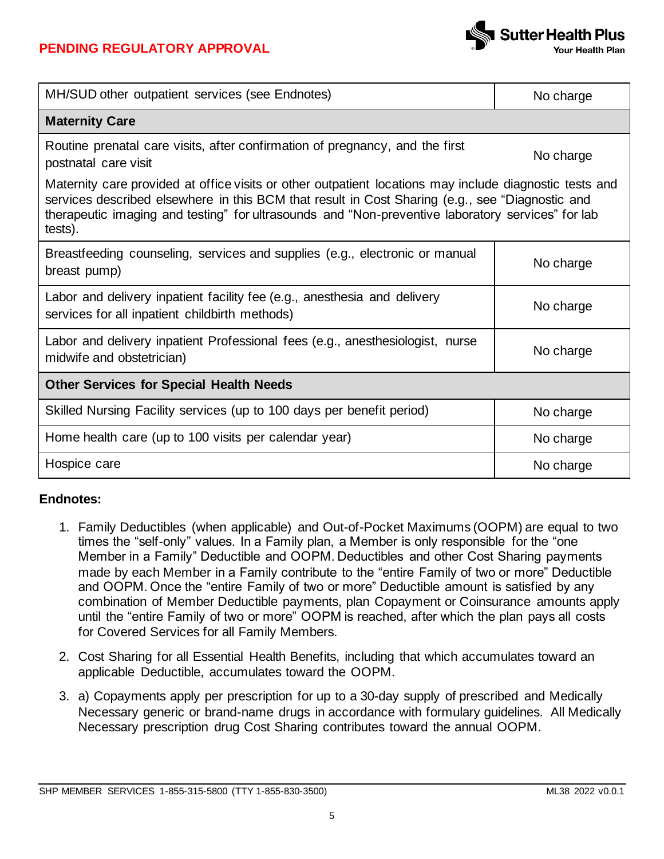

| MH/SUD other outpatient services (see Endnotes)                                                                                                                                                                                                                                                                            | No charge |  |
|----------------------------------------------------------------------------------------------------------------------------------------------------------------------------------------------------------------------------------------------------------------------------------------------------------------------------|-----------|--|
| <b>Maternity Care</b>                                                                                                                                                                                                                                                                                                      |           |  |
| Routine prenatal care visits, after confirmation of pregnancy, and the first<br>postnatal care visit                                                                                                                                                                                                                       | No charge |  |
| Maternity care provided at office visits or other outpatient locations may include diagnostic tests and<br>services described elsewhere in this BCM that result in Cost Sharing (e.g., see "Diagnostic and<br>therapeutic imaging and testing" for ultrasounds and "Non-preventive laboratory services" for lab<br>tests). |           |  |
| Breastfeeding counseling, services and supplies (e.g., electronic or manual<br>breast pump)                                                                                                                                                                                                                                | No charge |  |
| Labor and delivery inpatient facility fee (e.g., anesthesia and delivery<br>services for all inpatient childbirth methods)                                                                                                                                                                                                 | No charge |  |
| Labor and delivery inpatient Professional fees (e.g., anesthesiologist, nurse<br>midwife and obstetrician)                                                                                                                                                                                                                 | No charge |  |
| <b>Other Services for Special Health Needs</b>                                                                                                                                                                                                                                                                             |           |  |
| Skilled Nursing Facility services (up to 100 days per benefit period)                                                                                                                                                                                                                                                      | No charge |  |
| Home health care (up to 100 visits per calendar year)                                                                                                                                                                                                                                                                      | No charge |  |
| Hospice care                                                                                                                                                                                                                                                                                                               | No charge |  |

# **Endnotes:**

- 1. Family Deductibles (when applicable) and Out-of-Pocket Maximums (OOPM) are equal to two times the "self-only" values. In a Family plan, a Member is only responsible for the "one Member in a Family" Deductible and OOPM. Deductibles and other Cost Sharing payments made by each Member in a Family contribute to the "entire Family of two or more" Deductible and OOPM. Once the "entire Family of two or more" Deductible amount is satisfied by any combination of Member Deductible payments, plan Copayment or Coinsurance amounts apply until the "entire Family of two or more" OOPM is reached, after which the plan pays all costs for Covered Services for all Family Members.
- 2. Cost Sharing for all Essential Health Benefits, including that which accumulates toward an applicable Deductible, accumulates toward the OOPM.
- 3. a) Copayments apply per prescription for up to a 30-day supply of prescribed and Medically Necessary generic or brand-name drugs in accordance with formulary guidelines. All Medically Necessary prescription drug Cost Sharing contributes toward the annual OOPM.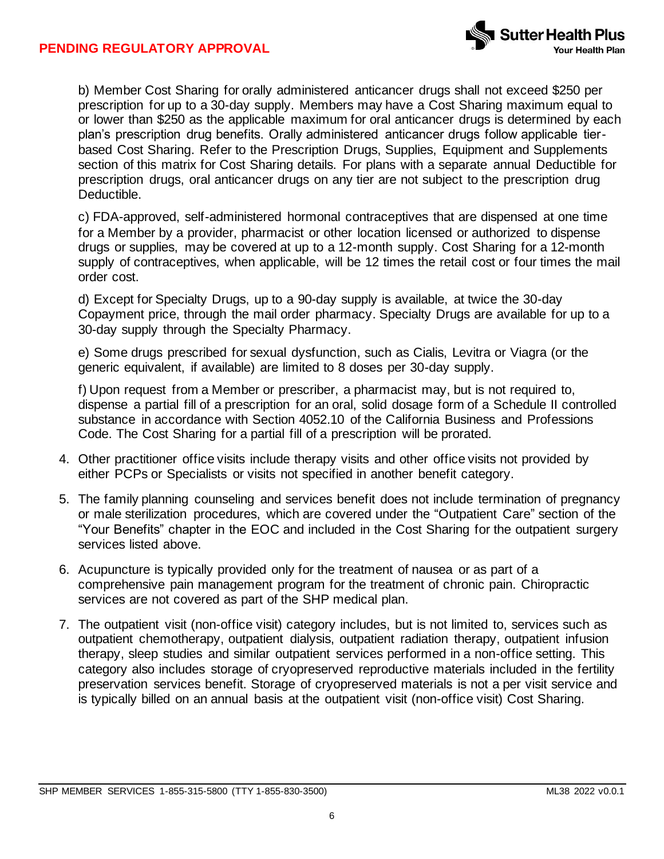

b) Member Cost Sharing for orally administered anticancer drugs shall not exceed \$250 per prescription for up to a 30-day supply. Members may have a Cost Sharing maximum equal to or lower than \$250 as the applicable maximum for oral anticancer drugs is determined by each plan's prescription drug benefits. Orally administered anticancer drugs follow applicable tierbased Cost Sharing. Refer to the Prescription Drugs, Supplies, Equipment and Supplements section of this matrix for Cost Sharing details. For plans with a separate annual Deductible for prescription drugs, oral anticancer drugs on any tier are not subject to the prescription drug Deductible.

c) FDA-approved, self-administered hormonal contraceptives that are dispensed at one time for a Member by a provider, pharmacist or other location licensed or authorized to dispense drugs or supplies, may be covered at up to a 12-month supply. Cost Sharing for a 12-month supply of contraceptives, when applicable, will be 12 times the retail cost or four times the mail order cost.

d) Except for Specialty Drugs, up to a 90-day supply is available, at twice the 30-day Copayment price, through the mail order pharmacy. Specialty Drugs are available for up to a 30-day supply through the Specialty Pharmacy.

e) Some drugs prescribed for sexual dysfunction, such as Cialis, Levitra or Viagra (or the generic equivalent, if available) are limited to 8 doses per 30-day supply.

f) Upon request from a Member or prescriber, a pharmacist may, but is not required to, dispense a partial fill of a prescription for an oral, solid dosage form of a Schedule II controlled substance in accordance with Section 4052.10 of the California Business and Professions Code. The Cost Sharing for a partial fill of a prescription will be prorated.

- 4. Other practitioner office visits include therapy visits and other office visits not provided by either PCPs or Specialists or visits not specified in another benefit category.
- 5. The family planning counseling and services benefit does not include termination of pregnancy or male sterilization procedures, which are covered under the "Outpatient Care" section of the "Your Benefits" chapter in the EOC and included in the Cost Sharing for the outpatient surgery services listed above.
- 6. Acupuncture is typically provided only for the treatment of nausea or as part of a comprehensive pain management program for the treatment of chronic pain. Chiropractic services are not covered as part of the SHP medical plan.
- 7. The outpatient visit (non-office visit) category includes, but is not limited to, services such as outpatient chemotherapy, outpatient dialysis, outpatient radiation therapy, outpatient infusion therapy, sleep studies and similar outpatient services performed in a non-office setting. This category also includes storage of cryopreserved reproductive materials included in the fertility preservation services benefit. Storage of cryopreserved materials is not a per visit service and is typically billed on an annual basis at the outpatient visit (non-office visit) Cost Sharing.